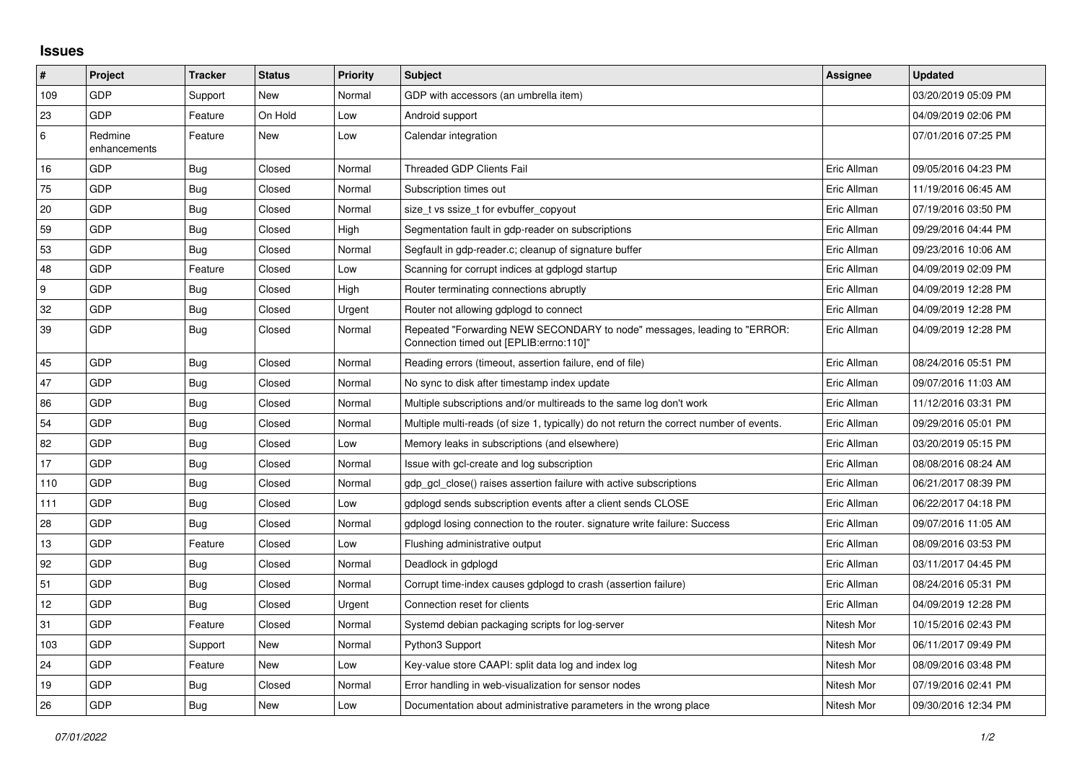## **Issues**

| $\pmb{\sharp}$    | Project                 | <b>Tracker</b> | <b>Status</b> | <b>Priority</b> | <b>Subject</b>                                                                                                      | <b>Assignee</b> | <b>Updated</b>      |
|-------------------|-------------------------|----------------|---------------|-----------------|---------------------------------------------------------------------------------------------------------------------|-----------------|---------------------|
| 109               | GDP                     | Support        | New           | Normal          | GDP with accessors (an umbrella item)                                                                               |                 | 03/20/2019 05:09 PM |
| 23                | GDP                     | Feature        | On Hold       | Low             | Android support                                                                                                     |                 | 04/09/2019 02:06 PM |
| 6                 | Redmine<br>enhancements | Feature        | New           | Low             | Calendar integration                                                                                                |                 | 07/01/2016 07:25 PM |
| 16                | GDP                     | Bug            | Closed        | Normal          | <b>Threaded GDP Clients Fail</b>                                                                                    | Eric Allman     | 09/05/2016 04:23 PM |
| 75                | <b>GDP</b>              | <b>Bug</b>     | Closed        | Normal          | Subscription times out                                                                                              | Eric Allman     | 11/19/2016 06:45 AM |
| 20                | GDP                     | <b>Bug</b>     | Closed        | Normal          | size t vs ssize t for evbuffer copyout                                                                              | Eric Allman     | 07/19/2016 03:50 PM |
| 59                | GDP                     | Bug            | Closed        | High            | Segmentation fault in gdp-reader on subscriptions                                                                   | Eric Allman     | 09/29/2016 04:44 PM |
| 53                | <b>GDP</b>              | <b>Bug</b>     | Closed        | Normal          | Segfault in gdp-reader.c; cleanup of signature buffer                                                               | Eric Allman     | 09/23/2016 10:06 AM |
| 48                | GDP                     | Feature        | Closed        | Low             | Scanning for corrupt indices at gdplogd startup                                                                     | Eric Allman     | 04/09/2019 02:09 PM |
| 9                 | GDP                     | <b>Bug</b>     | Closed        | High            | Router terminating connections abruptly                                                                             | Eric Allman     | 04/09/2019 12:28 PM |
| 32                | GDP                     | Bug            | Closed        | Urgent          | Router not allowing gdplogd to connect                                                                              | Eric Allman     | 04/09/2019 12:28 PM |
| 39                | GDP                     | Bug            | Closed        | Normal          | Repeated "Forwarding NEW SECONDARY to node" messages, leading to "ERROR:<br>Connection timed out [EPLIB:errno:110]" | Eric Allman     | 04/09/2019 12:28 PM |
| 45                | <b>GDP</b>              | <b>Bug</b>     | Closed        | Normal          | Reading errors (timeout, assertion failure, end of file)                                                            | Eric Allman     | 08/24/2016 05:51 PM |
| 47                | GDP                     | Bug            | Closed        | Normal          | No sync to disk after timestamp index update                                                                        | Eric Allman     | 09/07/2016 11:03 AM |
| 86                | GDP                     | Bug            | Closed        | Normal          | Multiple subscriptions and/or multireads to the same log don't work                                                 | Eric Allman     | 11/12/2016 03:31 PM |
| 54                | <b>GDP</b>              | <b>Bug</b>     | Closed        | Normal          | Multiple multi-reads (of size 1, typically) do not return the correct number of events.                             | Eric Allman     | 09/29/2016 05:01 PM |
| 82                | GDP                     | Bug            | Closed        | Low             | Memory leaks in subscriptions (and elsewhere)                                                                       | Eric Allman     | 03/20/2019 05:15 PM |
| 17                | GDP                     | Bug            | Closed        | Normal          | Issue with gcl-create and log subscription                                                                          | Eric Allman     | 08/08/2016 08:24 AM |
| 110               | <b>GDP</b>              | <b>Bug</b>     | Closed        | Normal          | gdp_gcl_close() raises assertion failure with active subscriptions                                                  | Eric Allman     | 06/21/2017 08:39 PM |
| 111               | GDP                     | <b>Bug</b>     | Closed        | Low             | gdplogd sends subscription events after a client sends CLOSE                                                        | Eric Allman     | 06/22/2017 04:18 PM |
| 28                | GDP                     | Bug            | Closed        | Normal          | gdplogd losing connection to the router, signature write failure: Success                                           | Eric Allman     | 09/07/2016 11:05 AM |
| 13                | GDP                     | Feature        | Closed        | Low             | Flushing administrative output                                                                                      | Eric Allman     | 08/09/2016 03:53 PM |
| 92                | GDP                     | Bug            | Closed        | Normal          | Deadlock in gdplogd                                                                                                 | Eric Allman     | 03/11/2017 04:45 PM |
| 51                | GDP                     | <b>Bug</b>     | Closed        | Normal          | Corrupt time-index causes gdplogd to crash (assertion failure)                                                      | Eric Allman     | 08/24/2016 05:31 PM |
| $12 \overline{ }$ | GDP                     | Bug            | Closed        | Urgent          | Connection reset for clients                                                                                        | Eric Allman     | 04/09/2019 12:28 PM |
| 31                | GDP                     | Feature        | Closed        | Normal          | Systemd debian packaging scripts for log-server                                                                     | Nitesh Mor      | 10/15/2016 02:43 PM |
| 103               | GDP                     | Support        | New           | Normal          | Python3 Support                                                                                                     | Nitesh Mor      | 06/11/2017 09:49 PM |
| 24                | <b>GDP</b>              | Feature        | New           | Low             | Key-value store CAAPI: split data log and index log                                                                 | Nitesh Mor      | 08/09/2016 03:48 PM |
| 19                | GDP                     | Bug            | Closed        | Normal          | Error handling in web-visualization for sensor nodes                                                                | Nitesh Mor      | 07/19/2016 02:41 PM |
| 26                | GDP                     | <b>Bug</b>     | New           | Low             | Documentation about administrative parameters in the wrong place                                                    | Nitesh Mor      | 09/30/2016 12:34 PM |